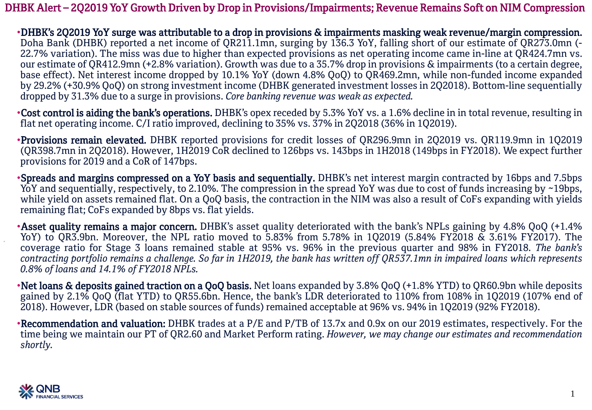DHBK Alert – 2Q2019 YoY Growth Driven by Drop in Provisions/Impairments; Revenue Remains Soft on NIM Compression

•DHBK's 2Q2019 YoY surge was attributable to a drop in provisions & impairments masking weak revenue/margin compression. Doha Bank (DHBK) reported a net income of QR211.1mn, surging by 136.3 YoY, falling short of our estimate of QR273.0mn (- 22.7% variation). The miss was due to higher than expected provisions as net operating income came in-line at QR424.7mn vs. our estimate of QR412.9mn (+2.8% variation). Growth was due to a 35.7% drop in provisions & impairments (to a certain degree, base effect). Net interest income dropped by 10.1% YoY (down 4.8% QoQ) to QR469.2mn, while non-funded income expanded by 29.2% (+30.9% QoQ) on strong investment income (DHBK generated investment losses in 2Q2018). Bottom-line sequentially dropped by 31.3% due to a surge in provisions. *Core banking revenue was weak as expected.*

•Cost control is aiding the bank's operations. DHBK's opex receded by 5.3% YoY vs. a 1.6% decline in in total revenue, resulting in flat net operating income. C/I ratio improved, declining to 35% vs. 37% in 2Q2018 (36% in 1Q2019).

•Provisions remain elevated. DHBK reported provisions for credit losses of QR296.9mn in 2Q2019 vs. QR119.9mn in 1Q2019 (QR398.7mn in 2Q2018). However, 1H2019 CoR declined to 126bps vs. 143bps in 1H2018 (149bps in FY2018). We expect further provisions for 2019 and a CoR of 147bps.

•Spreads and margins compressed on a YoY basis and sequentially. DHBK's net interest margin contracted by 16bps and 7.5bps YoY and sequentially, respectively, to 2.10%. The compression in the spread YoY was due to cost of funds increasing by ~19bps, while yield on assets remained flat. On a QoQ basis, the contraction in the NIM was also a result of CoFs expanding with yields remaining flat; CoFs expanded by 8bps vs. flat yields.

•Asset quality remains a major concern. DHBK's asset quality deteriorated with the bank's NPLs gaining by 4.8% QoQ (+1.4% YoY) to QR3.9bn. Moreover, the NPL ratio moved to 5.83% from 5.78% in 1Q2019 (5.84% FY2018 & 3.61% FY2017). The coverage ratio for Stage 3 loans remained stable at 95% vs. 96% in the previous quarter and 98% in FY2018. *The bank's* contracting portfolio remains a challenge. So far in 1H2019, the bank has written off QR537.1mn in impaired loans which represents *0.8% of loans and 14.1% of FY2018 NPLs.*

•Net loans & deposits gained traction on a QoQ basis. Net loans expanded by 3.8% QoQ (+1.8% YTD) to QR60.9bn while deposits gained by 2.1% QoQ (flat YTD) to QR55.6bn. Hence, the bank's LDR deteriorated to 110% from 108% in 1Q2019 (107% end of 2018). However, LDR (based on stable sources of funds) remained acceptable at 96% vs. 94% in 1Q2019 (92% FY2018).

•Recommendation and valuation: DHBK trades at a P/E and P/TB of 13.7x and 0.9x on our 2019 estimates, respectively. For the time being we maintain our PT of QR2.60 and Market Perform rating. *However, we may change our estimates and recommendation shortly.*

1